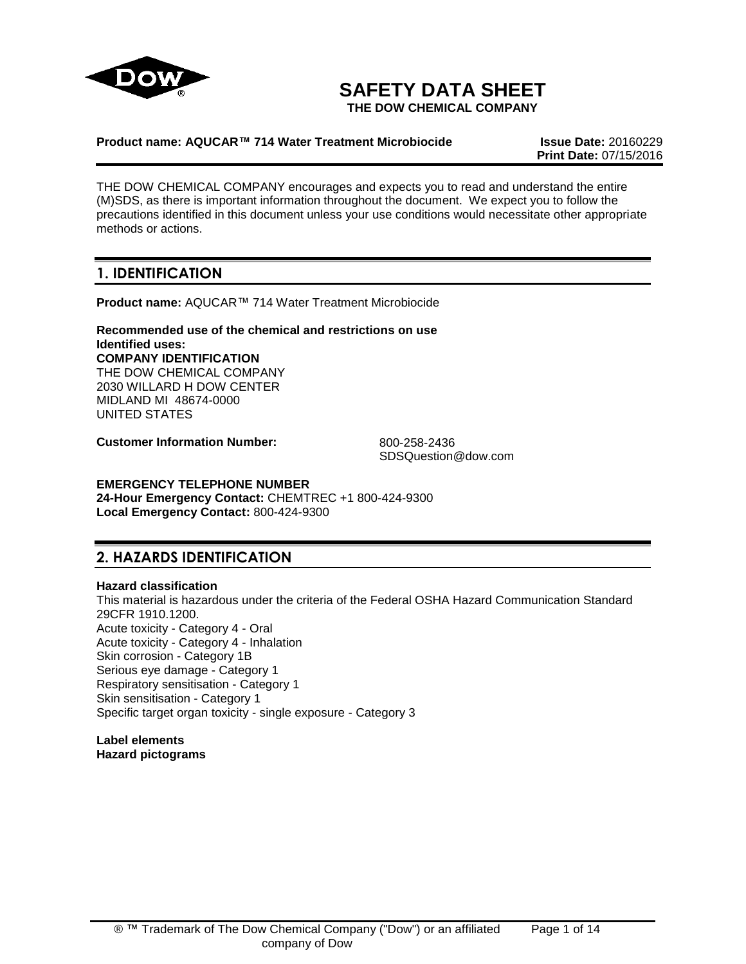

# **SAFETY DATA SHEET**

**THE DOW CHEMICAL COMPANY**

### **Product name: AQUCAR™ 714 Water Treatment Microbiocide Issue Date:** 20160229

**Print Date:** 07/15/2016

THE DOW CHEMICAL COMPANY encourages and expects you to read and understand the entire (M)SDS, as there is important information throughout the document. We expect you to follow the precautions identified in this document unless your use conditions would necessitate other appropriate methods or actions.

# **1. IDENTIFICATION**

**Product name:** AQUCAR™ 714 Water Treatment Microbiocide

**Recommended use of the chemical and restrictions on use Identified uses: COMPANY IDENTIFICATION** THE DOW CHEMICAL COMPANY 2030 WILLARD H DOW CENTER MIDLAND MI 48674-0000 UNITED STATES

**Customer Information Number:** 800-258-2436

SDSQuestion@dow.com

**EMERGENCY TELEPHONE NUMBER 24-Hour Emergency Contact:** CHEMTREC +1 800-424-9300 **Local Emergency Contact:** 800-424-9300

# **2. HAZARDS IDENTIFICATION**

## **Hazard classification**

This material is hazardous under the criteria of the Federal OSHA Hazard Communication Standard 29CFR 1910.1200. Acute toxicity - Category 4 - Oral Acute toxicity - Category 4 - Inhalation Skin corrosion - Category 1B Serious eye damage - Category 1 Respiratory sensitisation - Category 1 Skin sensitisation - Category 1 Specific target organ toxicity - single exposure - Category 3

**Label elements Hazard pictograms**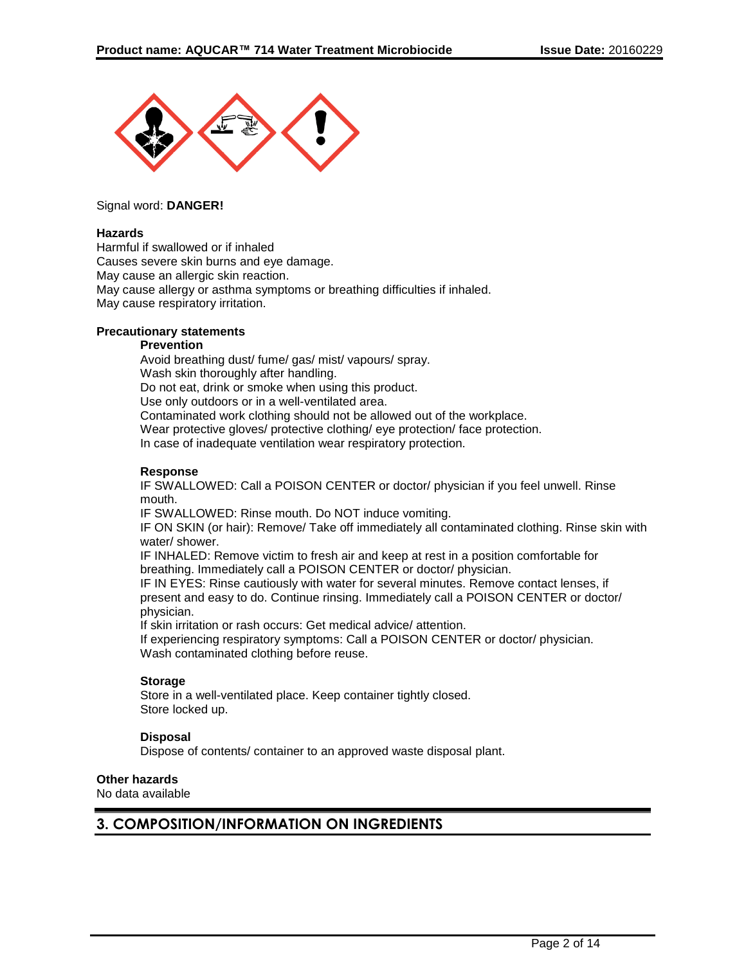

### Signal word: **DANGER!**

### **Hazards**

Harmful if swallowed or if inhaled Causes severe skin burns and eye damage. May cause an allergic skin reaction. May cause allergy or asthma symptoms or breathing difficulties if inhaled. May cause respiratory irritation.

### **Precautionary statements**

#### **Prevention**

Avoid breathing dust/ fume/ gas/ mist/ vapours/ spray. Wash skin thoroughly after handling. Do not eat, drink or smoke when using this product. Use only outdoors or in a well-ventilated area. Contaminated work clothing should not be allowed out of the workplace. Wear protective gloves/ protective clothing/ eye protection/ face protection. In case of inadequate ventilation wear respiratory protection.

### **Response**

IF SWALLOWED: Call a POISON CENTER or doctor/ physician if you feel unwell. Rinse mouth.

IF SWALLOWED: Rinse mouth. Do NOT induce vomiting.

IF ON SKIN (or hair): Remove/ Take off immediately all contaminated clothing. Rinse skin with water/ shower.

IF INHALED: Remove victim to fresh air and keep at rest in a position comfortable for breathing. Immediately call a POISON CENTER or doctor/ physician.

IF IN EYES: Rinse cautiously with water for several minutes. Remove contact lenses, if present and easy to do. Continue rinsing. Immediately call a POISON CENTER or doctor/ physician.

If skin irritation or rash occurs: Get medical advice/ attention.

If experiencing respiratory symptoms: Call a POISON CENTER or doctor/ physician. Wash contaminated clothing before reuse.

## **Storage**

Store in a well-ventilated place. Keep container tightly closed. Store locked up.

## **Disposal**

Dispose of contents/ container to an approved waste disposal plant.

### **Other hazards**

No data available

## **3. COMPOSITION/INFORMATION ON INGREDIENTS**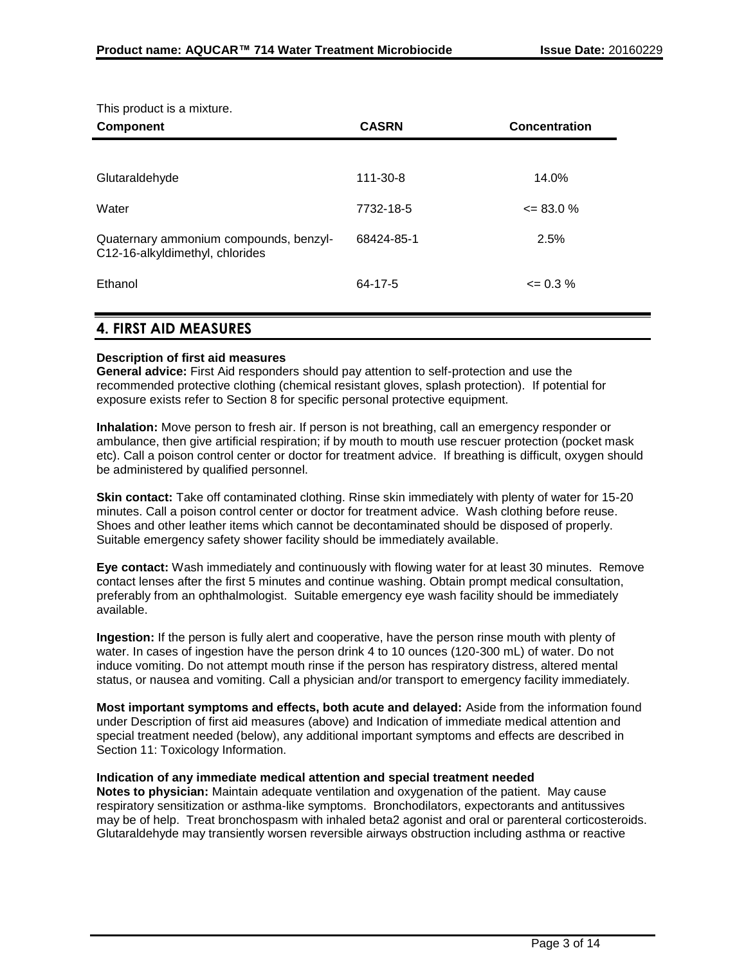This product is a mixture.

| <b>Component</b>                                                          | <b>CASRN</b> | <b>Concentration</b> |
|---------------------------------------------------------------------------|--------------|----------------------|
|                                                                           |              |                      |
| Glutaraldehyde                                                            | 111-30-8     | 14.0%                |
| Water                                                                     | 7732-18-5    | $\leq$ 83.0 %        |
| Quaternary ammonium compounds, benzyl-<br>C12-16-alkyldimethyl, chlorides | 68424-85-1   | 2.5%                 |
| Ethanol                                                                   | 64-17-5      | $\leq$ 0.3 %         |

## **4. FIRST AID MEASURES**

## **Description of first aid measures**

**General advice:** First Aid responders should pay attention to self-protection and use the recommended protective clothing (chemical resistant gloves, splash protection). If potential for exposure exists refer to Section 8 for specific personal protective equipment.

**Inhalation:** Move person to fresh air. If person is not breathing, call an emergency responder or ambulance, then give artificial respiration; if by mouth to mouth use rescuer protection (pocket mask etc). Call a poison control center or doctor for treatment advice. If breathing is difficult, oxygen should be administered by qualified personnel.

**Skin contact:** Take off contaminated clothing. Rinse skin immediately with plenty of water for 15-20 minutes. Call a poison control center or doctor for treatment advice. Wash clothing before reuse. Shoes and other leather items which cannot be decontaminated should be disposed of properly. Suitable emergency safety shower facility should be immediately available.

**Eye contact:** Wash immediately and continuously with flowing water for at least 30 minutes. Remove contact lenses after the first 5 minutes and continue washing. Obtain prompt medical consultation, preferably from an ophthalmologist. Suitable emergency eye wash facility should be immediately available.

**Ingestion:** If the person is fully alert and cooperative, have the person rinse mouth with plenty of water. In cases of ingestion have the person drink 4 to 10 ounces (120-300 mL) of water. Do not induce vomiting. Do not attempt mouth rinse if the person has respiratory distress, altered mental status, or nausea and vomiting. Call a physician and/or transport to emergency facility immediately.

**Most important symptoms and effects, both acute and delayed:** Aside from the information found under Description of first aid measures (above) and Indication of immediate medical attention and special treatment needed (below), any additional important symptoms and effects are described in Section 11: Toxicology Information.

### **Indication of any immediate medical attention and special treatment needed**

**Notes to physician:** Maintain adequate ventilation and oxygenation of the patient. May cause respiratory sensitization or asthma-like symptoms. Bronchodilators, expectorants and antitussives may be of help. Treat bronchospasm with inhaled beta2 agonist and oral or parenteral corticosteroids. Glutaraldehyde may transiently worsen reversible airways obstruction including asthma or reactive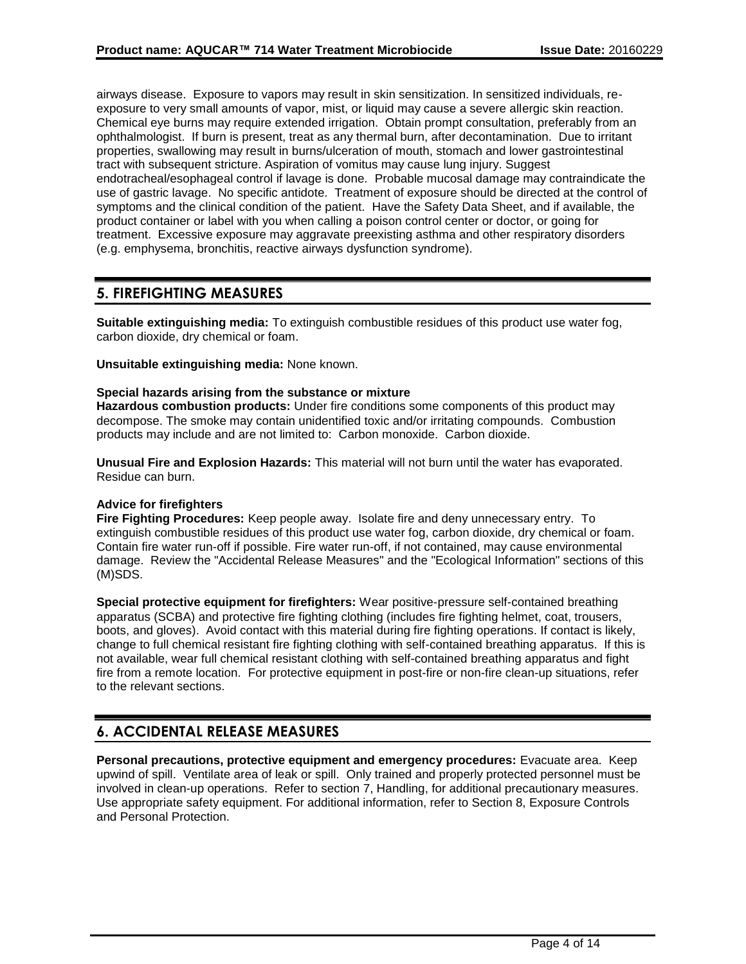airways disease. Exposure to vapors may result in skin sensitization. In sensitized individuals, reexposure to very small amounts of vapor, mist, or liquid may cause a severe allergic skin reaction. Chemical eye burns may require extended irrigation. Obtain prompt consultation, preferably from an ophthalmologist. If burn is present, treat as any thermal burn, after decontamination. Due to irritant properties, swallowing may result in burns/ulceration of mouth, stomach and lower gastrointestinal tract with subsequent stricture. Aspiration of vomitus may cause lung injury. Suggest endotracheal/esophageal control if lavage is done. Probable mucosal damage may contraindicate the use of gastric lavage. No specific antidote. Treatment of exposure should be directed at the control of symptoms and the clinical condition of the patient. Have the Safety Data Sheet, and if available, the product container or label with you when calling a poison control center or doctor, or going for treatment. Excessive exposure may aggravate preexisting asthma and other respiratory disorders (e.g. emphysema, bronchitis, reactive airways dysfunction syndrome).

## **5. FIREFIGHTING MEASURES**

**Suitable extinguishing media:** To extinguish combustible residues of this product use water fog, carbon dioxide, dry chemical or foam.

**Unsuitable extinguishing media:** None known.

## **Special hazards arising from the substance or mixture**

**Hazardous combustion products:** Under fire conditions some components of this product may decompose. The smoke may contain unidentified toxic and/or irritating compounds. Combustion products may include and are not limited to: Carbon monoxide. Carbon dioxide.

**Unusual Fire and Explosion Hazards:** This material will not burn until the water has evaporated. Residue can burn.

### **Advice for firefighters**

**Fire Fighting Procedures:** Keep people away. Isolate fire and deny unnecessary entry. To extinguish combustible residues of this product use water fog, carbon dioxide, dry chemical or foam. Contain fire water run-off if possible. Fire water run-off, if not contained, may cause environmental damage. Review the "Accidental Release Measures" and the "Ecological Information" sections of this (M)SDS.

**Special protective equipment for firefighters:** Wear positive-pressure self-contained breathing apparatus (SCBA) and protective fire fighting clothing (includes fire fighting helmet, coat, trousers, boots, and gloves). Avoid contact with this material during fire fighting operations. If contact is likely, change to full chemical resistant fire fighting clothing with self-contained breathing apparatus. If this is not available, wear full chemical resistant clothing with self-contained breathing apparatus and fight fire from a remote location. For protective equipment in post-fire or non-fire clean-up situations, refer to the relevant sections.

## **6. ACCIDENTAL RELEASE MEASURES**

**Personal precautions, protective equipment and emergency procedures:** Evacuate area. Keep upwind of spill. Ventilate area of leak or spill. Only trained and properly protected personnel must be involved in clean-up operations. Refer to section 7, Handling, for additional precautionary measures. Use appropriate safety equipment. For additional information, refer to Section 8, Exposure Controls and Personal Protection.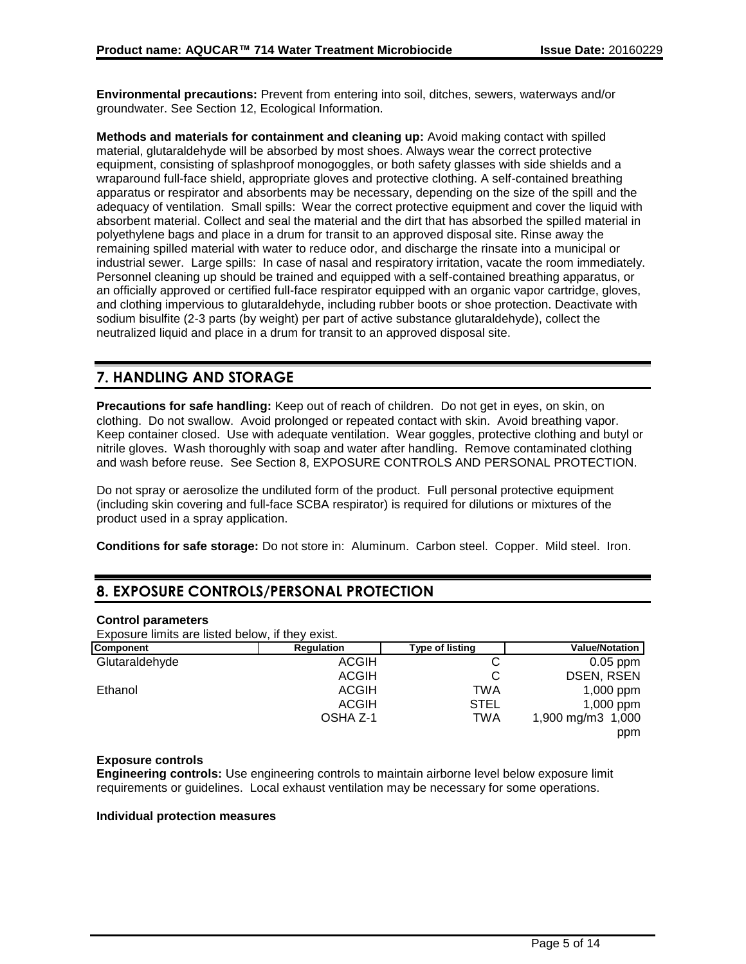**Environmental precautions:** Prevent from entering into soil, ditches, sewers, waterways and/or groundwater. See Section 12, Ecological Information.

**Methods and materials for containment and cleaning up:** Avoid making contact with spilled material, glutaraldehyde will be absorbed by most shoes. Always wear the correct protective equipment, consisting of splashproof monogoggles, or both safety glasses with side shields and a wraparound full-face shield, appropriate gloves and protective clothing. A self-contained breathing apparatus or respirator and absorbents may be necessary, depending on the size of the spill and the adequacy of ventilation. Small spills: Wear the correct protective equipment and cover the liquid with absorbent material. Collect and seal the material and the dirt that has absorbed the spilled material in polyethylene bags and place in a drum for transit to an approved disposal site. Rinse away the remaining spilled material with water to reduce odor, and discharge the rinsate into a municipal or industrial sewer. Large spills: In case of nasal and respiratory irritation, vacate the room immediately. Personnel cleaning up should be trained and equipped with a self-contained breathing apparatus, or an officially approved or certified full-face respirator equipped with an organic vapor cartridge, gloves, and clothing impervious to glutaraldehyde, including rubber boots or shoe protection. Deactivate with sodium bisulfite (2-3 parts (by weight) per part of active substance glutaraldehyde), collect the neutralized liquid and place in a drum for transit to an approved disposal site.

# **7. HANDLING AND STORAGE**

**Precautions for safe handling:** Keep out of reach of children. Do not get in eyes, on skin, on clothing. Do not swallow. Avoid prolonged or repeated contact with skin. Avoid breathing vapor. Keep container closed. Use with adequate ventilation. Wear goggles, protective clothing and butyl or nitrile gloves. Wash thoroughly with soap and water after handling. Remove contaminated clothing and wash before reuse. See Section 8, EXPOSURE CONTROLS AND PERSONAL PROTECTION.

Do not spray or aerosolize the undiluted form of the product. Full personal protective equipment (including skin covering and full-face SCBA respirator) is required for dilutions or mixtures of the product used in a spray application.

**Conditions for safe storage:** Do not store in: Aluminum. Carbon steel. Copper. Mild steel. Iron.

## **8. EXPOSURE CONTROLS/PERSONAL PROTECTION**

### **Control parameters**

Exposure limits are listed below, if they exist.

| <b>Component</b> | Regulation   | Type of listing | <b>Value/Notation</b> |
|------------------|--------------|-----------------|-----------------------|
| Glutaraldehyde   | <b>ACGIH</b> |                 | $0.05$ ppm            |
|                  | <b>ACGIH</b> |                 | <b>DSEN, RSEN</b>     |
| Ethanol          | <b>ACGIH</b> | TWA             | $1,000$ ppm           |
|                  | ACGIH        | <b>STEL</b>     | $1,000$ ppm           |
|                  | OSHA Z-1     | TWA             | 1,900 mg/m3 1,000     |
|                  |              |                 | ppm                   |

## **Exposure controls**

**Engineering controls:** Use engineering controls to maintain airborne level below exposure limit requirements or guidelines. Local exhaust ventilation may be necessary for some operations.

### **Individual protection measures**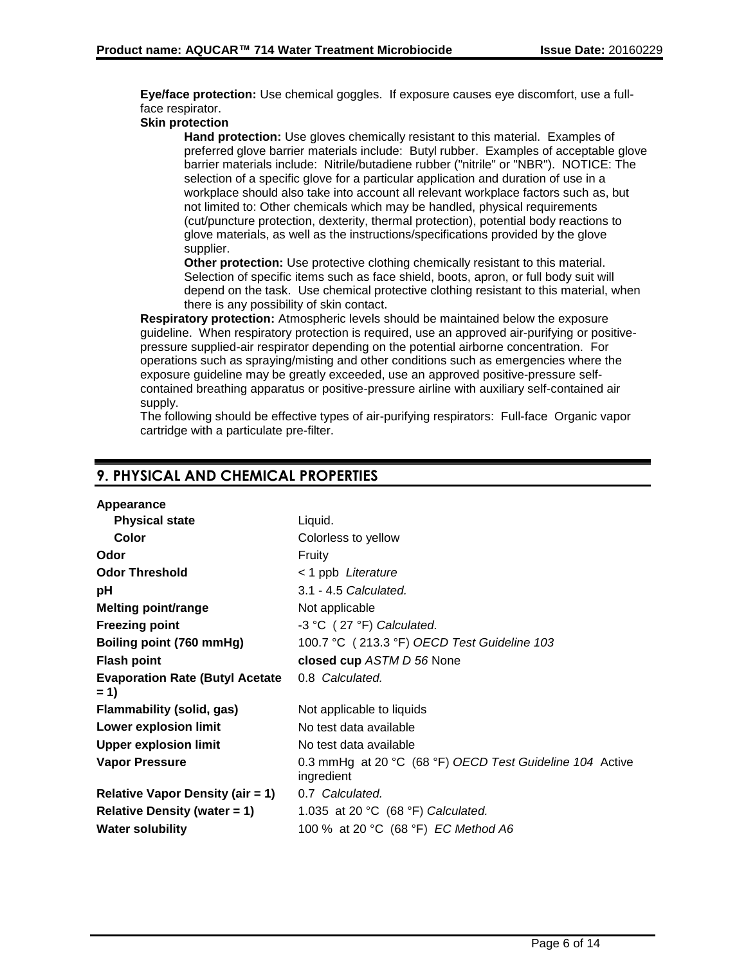**Eye/face protection:** Use chemical goggles. If exposure causes eye discomfort, use a fullface respirator.

## **Skin protection**

**Hand protection:** Use gloves chemically resistant to this material. Examples of preferred glove barrier materials include: Butyl rubber. Examples of acceptable glove barrier materials include: Nitrile/butadiene rubber ("nitrile" or "NBR"). NOTICE: The selection of a specific glove for a particular application and duration of use in a workplace should also take into account all relevant workplace factors such as, but not limited to: Other chemicals which may be handled, physical requirements (cut/puncture protection, dexterity, thermal protection), potential body reactions to glove materials, as well as the instructions/specifications provided by the glove supplier.

**Other protection:** Use protective clothing chemically resistant to this material. Selection of specific items such as face shield, boots, apron, or full body suit will depend on the task. Use chemical protective clothing resistant to this material, when there is any possibility of skin contact.

**Respiratory protection:** Atmospheric levels should be maintained below the exposure guideline. When respiratory protection is required, use an approved air-purifying or positivepressure supplied-air respirator depending on the potential airborne concentration. For operations such as spraying/misting and other conditions such as emergencies where the exposure guideline may be greatly exceeded, use an approved positive-pressure selfcontained breathing apparatus or positive-pressure airline with auxiliary self-contained air supply.

The following should be effective types of air-purifying respirators: Full-face Organic vapor cartridge with a particulate pre-filter.

| Appearance                                      |                                                                        |
|-------------------------------------------------|------------------------------------------------------------------------|
| <b>Physical state</b>                           | Liquid.                                                                |
| Color                                           | Colorless to yellow                                                    |
| Odor                                            | Fruity                                                                 |
| <b>Odor Threshold</b>                           | < 1 ppb Literature                                                     |
| рH                                              | 3.1 - 4.5 Calculated.                                                  |
| <b>Melting point/range</b>                      | Not applicable                                                         |
| <b>Freezing point</b>                           | -3 °C (27 °F) Calculated.                                              |
| Boiling point (760 mmHg)                        | 100.7 °C (213.3 °F) OECD Test Guideline 103                            |
| <b>Flash point</b>                              | closed cup ASTM D 56 None                                              |
| <b>Evaporation Rate (Butyl Acetate</b><br>$= 1$ | 0.8 Calculated.                                                        |
| Flammability (solid, gas)                       | Not applicable to liquids                                              |
| <b>Lower explosion limit</b>                    | No test data available                                                 |
| <b>Upper explosion limit</b>                    | No test data available                                                 |
| <b>Vapor Pressure</b>                           | 0.3 mmHg at 20 °C (68 °F) OECD Test Guideline 104 Active<br>ingredient |
| <b>Relative Vapor Density (air = 1)</b>         | 0.7 Calculated.                                                        |
| Relative Density (water $= 1$ )                 | 1.035 at 20 °C (68 °F) Calculated.                                     |
| <b>Water solubility</b>                         | 100 % at 20 °C (68 °F) EC Method A6                                    |

# **9. PHYSICAL AND CHEMICAL PROPERTIES**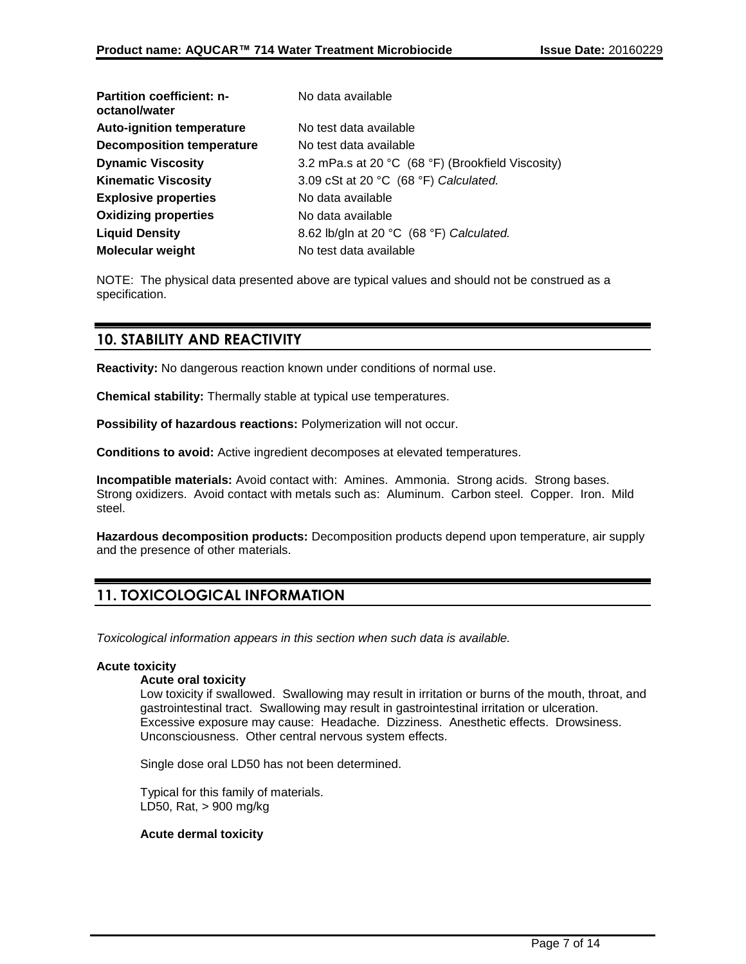| <b>Partition coefficient: n-</b><br>octanol/water | No data available                                 |
|---------------------------------------------------|---------------------------------------------------|
| <b>Auto-ignition temperature</b>                  | No test data available                            |
| <b>Decomposition temperature</b>                  | No test data available                            |
| <b>Dynamic Viscosity</b>                          | 3.2 mPa.s at 20 °C (68 °F) (Brookfield Viscosity) |
| <b>Kinematic Viscosity</b>                        | 3.09 cSt at 20 °C (68 °F) Calculated.             |
| <b>Explosive properties</b>                       | No data available                                 |
| <b>Oxidizing properties</b>                       | No data available                                 |
| <b>Liquid Density</b>                             | 8.62 lb/gln at 20 °C (68 °F) Calculated.          |
| <b>Molecular weight</b>                           | No test data available                            |

NOTE: The physical data presented above are typical values and should not be construed as a specification.

## **10. STABILITY AND REACTIVITY**

**Reactivity:** No dangerous reaction known under conditions of normal use.

**Chemical stability:** Thermally stable at typical use temperatures.

**Possibility of hazardous reactions:** Polymerization will not occur.

**Conditions to avoid:** Active ingredient decomposes at elevated temperatures.

**Incompatible materials:** Avoid contact with: Amines. Ammonia. Strong acids. Strong bases. Strong oxidizers. Avoid contact with metals such as: Aluminum. Carbon steel. Copper. Iron. Mild steel.

**Hazardous decomposition products:** Decomposition products depend upon temperature, air supply and the presence of other materials.

# **11. TOXICOLOGICAL INFORMATION**

*Toxicological information appears in this section when such data is available.*

### **Acute toxicity**

### **Acute oral toxicity**

Low toxicity if swallowed. Swallowing may result in irritation or burns of the mouth, throat, and gastrointestinal tract. Swallowing may result in gastrointestinal irritation or ulceration. Excessive exposure may cause: Headache. Dizziness. Anesthetic effects. Drowsiness. Unconsciousness. Other central nervous system effects.

Single dose oral LD50 has not been determined.

Typical for this family of materials. LD50, Rat, > 900 mg/kg

### **Acute dermal toxicity**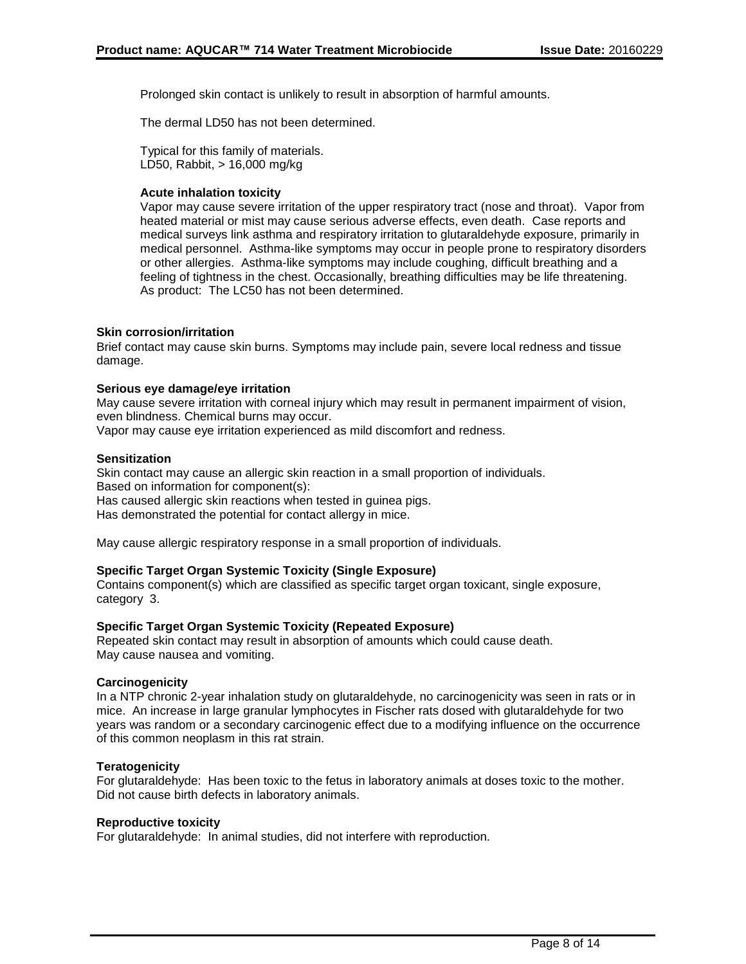Prolonged skin contact is unlikely to result in absorption of harmful amounts.

The dermal LD50 has not been determined.

Typical for this family of materials. LD50, Rabbit, > 16,000 mg/kg

### **Acute inhalation toxicity**

Vapor may cause severe irritation of the upper respiratory tract (nose and throat). Vapor from heated material or mist may cause serious adverse effects, even death. Case reports and medical surveys link asthma and respiratory irritation to glutaraldehyde exposure, primarily in medical personnel. Asthma-like symptoms may occur in people prone to respiratory disorders or other allergies. Asthma-like symptoms may include coughing, difficult breathing and a feeling of tightness in the chest. Occasionally, breathing difficulties may be life threatening. As product: The LC50 has not been determined.

## **Skin corrosion/irritation**

Brief contact may cause skin burns. Symptoms may include pain, severe local redness and tissue damage.

## **Serious eye damage/eye irritation**

May cause severe irritation with corneal injury which may result in permanent impairment of vision, even blindness. Chemical burns may occur.

Vapor may cause eye irritation experienced as mild discomfort and redness.

## **Sensitization**

Skin contact may cause an allergic skin reaction in a small proportion of individuals. Based on information for component(s): Has caused allergic skin reactions when tested in guinea pigs. Has demonstrated the potential for contact allergy in mice.

May cause allergic respiratory response in a small proportion of individuals.

### **Specific Target Organ Systemic Toxicity (Single Exposure)**

Contains component(s) which are classified as specific target organ toxicant, single exposure, category 3.

### **Specific Target Organ Systemic Toxicity (Repeated Exposure)**

Repeated skin contact may result in absorption of amounts which could cause death. May cause nausea and vomiting.

### **Carcinogenicity**

In a NTP chronic 2-year inhalation study on glutaraldehyde, no carcinogenicity was seen in rats or in mice. An increase in large granular lymphocytes in Fischer rats dosed with glutaraldehyde for two years was random or a secondary carcinogenic effect due to a modifying influence on the occurrence of this common neoplasm in this rat strain.

### **Teratogenicity**

For glutaraldehyde: Has been toxic to the fetus in laboratory animals at doses toxic to the mother. Did not cause birth defects in laboratory animals.

### **Reproductive toxicity**

For glutaraldehyde: In animal studies, did not interfere with reproduction.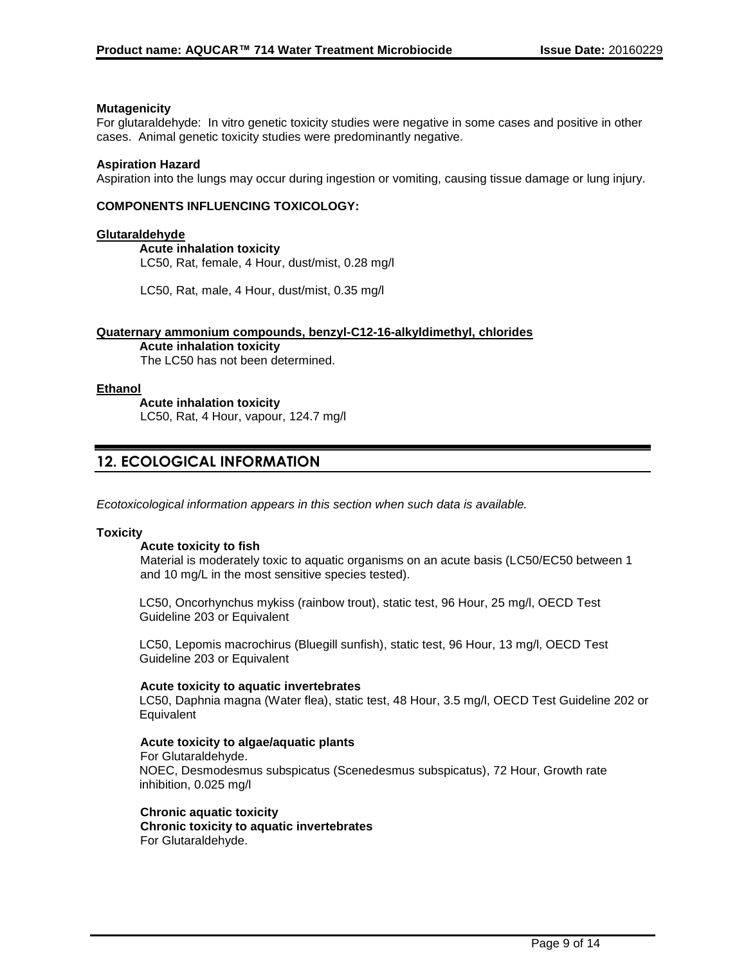### **Mutagenicity**

For glutaraldehyde: In vitro genetic toxicity studies were negative in some cases and positive in other cases. Animal genetic toxicity studies were predominantly negative.

### **Aspiration Hazard**

Aspiration into the lungs may occur during ingestion or vomiting, causing tissue damage or lung injury.

### **COMPONENTS INFLUENCING TOXICOLOGY:**

#### **Glutaraldehyde**

**Acute inhalation toxicity** LC50, Rat, female, 4 Hour, dust/mist, 0.28 mg/l

LC50, Rat, male, 4 Hour, dust/mist, 0.35 mg/l

#### **Quaternary ammonium compounds, benzyl-C12-16-alkyldimethyl, chlorides**

**Acute inhalation toxicity** The LC50 has not been determined.

### **Ethanol**

**Acute inhalation toxicity** LC50, Rat, 4 Hour, vapour, 124.7 mg/l

# **12. ECOLOGICAL INFORMATION**

*Ecotoxicological information appears in this section when such data is available.*

#### **Toxicity**

### **Acute toxicity to fish**

Material is moderately toxic to aquatic organisms on an acute basis (LC50/EC50 between 1 and 10 mg/L in the most sensitive species tested).

LC50, Oncorhynchus mykiss (rainbow trout), static test, 96 Hour, 25 mg/l, OECD Test Guideline 203 or Equivalent

LC50, Lepomis macrochirus (Bluegill sunfish), static test, 96 Hour, 13 mg/l, OECD Test Guideline 203 or Equivalent

#### **Acute toxicity to aquatic invertebrates**

LC50, Daphnia magna (Water flea), static test, 48 Hour, 3.5 mg/l, OECD Test Guideline 202 or **Equivalent** 

### **Acute toxicity to algae/aquatic plants**

For Glutaraldehyde. NOEC, Desmodesmus subspicatus (Scenedesmus subspicatus), 72 Hour, Growth rate inhibition, 0.025 mg/l

#### **Chronic aquatic toxicity Chronic toxicity to aquatic invertebrates** For Glutaraldehyde.

Page 9 of 14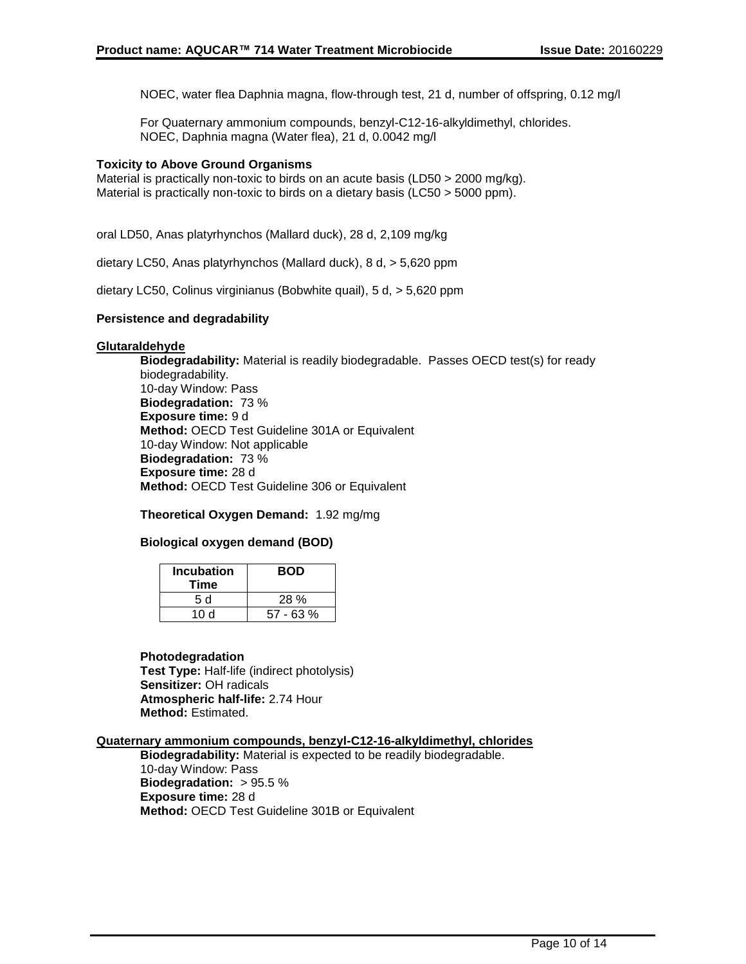NOEC, water flea Daphnia magna, flow-through test, 21 d, number of offspring, 0.12 mg/l

For Quaternary ammonium compounds, benzyl-C12-16-alkyldimethyl, chlorides. NOEC, Daphnia magna (Water flea), 21 d, 0.0042 mg/l

## **Toxicity to Above Ground Organisms**

Material is practically non-toxic to birds on an acute basis (LD50 > 2000 mg/kg). Material is practically non-toxic to birds on a dietary basis (LC50 > 5000 ppm).

oral LD50, Anas platyrhynchos (Mallard duck), 28 d, 2,109 mg/kg

dietary LC50, Anas platyrhynchos (Mallard duck), 8 d, > 5,620 ppm

dietary LC50, Colinus virginianus (Bobwhite quail), 5 d, > 5,620 ppm

### **Persistence and degradability**

### **Glutaraldehyde**

**Biodegradability:** Material is readily biodegradable. Passes OECD test(s) for ready biodegradability. 10-day Window: Pass **Biodegradation:** 73 % **Exposure time:** 9 d **Method:** OECD Test Guideline 301A or Equivalent 10-day Window: Not applicable **Biodegradation:** 73 % **Exposure time:** 28 d **Method:** OECD Test Guideline 306 or Equivalent

### **Theoretical Oxygen Demand:** 1.92 mg/mg

## **Biological oxygen demand (BOD)**

| <b>Incubation</b><br>Time | <b>BOD</b> |
|---------------------------|------------|
| 5 d                       | 28 %       |
| 10 d                      | 57 - 63 %  |

### **Photodegradation**

**Test Type:** Half-life (indirect photolysis) **Sensitizer:** OH radicals **Atmospheric half-life:** 2.74 Hour **Method:** Estimated.

### **Quaternary ammonium compounds, benzyl-C12-16-alkyldimethyl, chlorides**

**Biodegradability:** Material is expected to be readily biodegradable. 10-day Window: Pass **Biodegradation:** > 95.5 % **Exposure time:** 28 d **Method:** OECD Test Guideline 301B or Equivalent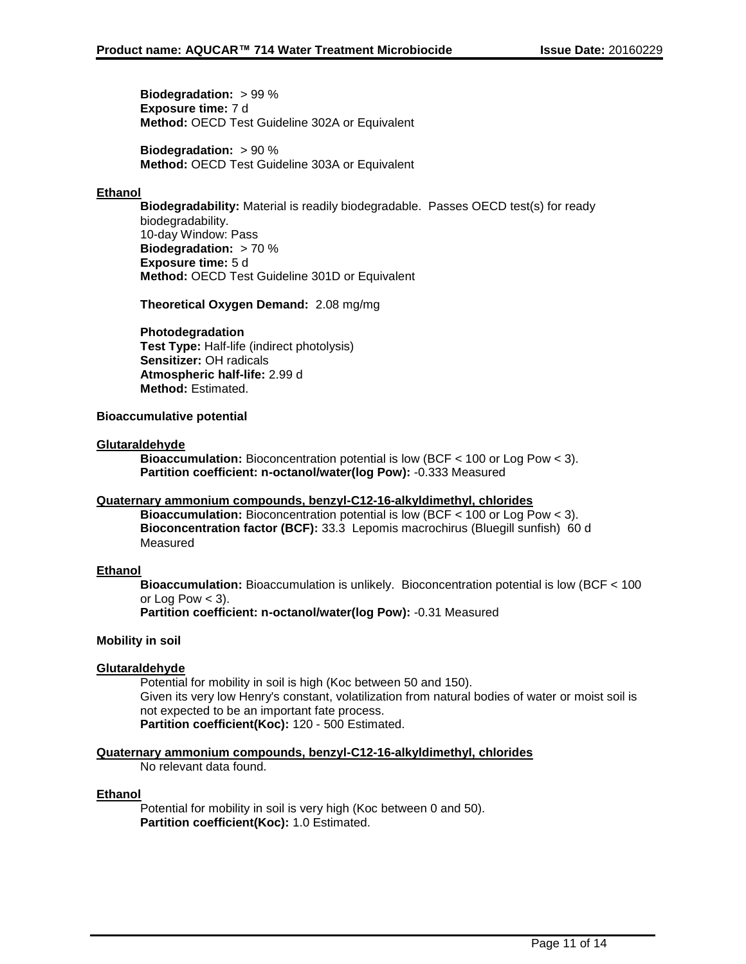**Biodegradation:** > 99 % **Exposure time:** 7 d **Method:** OECD Test Guideline 302A or Equivalent

**Biodegradation:** > 90 % **Method:** OECD Test Guideline 303A or Equivalent

## **Ethanol**

**Biodegradability:** Material is readily biodegradable. Passes OECD test(s) for ready biodegradability. 10-day Window: Pass **Biodegradation:** > 70 % **Exposure time:** 5 d **Method:** OECD Test Guideline 301D or Equivalent

**Theoretical Oxygen Demand:** 2.08 mg/mg

## **Photodegradation**

**Test Type:** Half-life (indirect photolysis) **Sensitizer:** OH radicals **Atmospheric half-life:** 2.99 d **Method:** Estimated.

## **Bioaccumulative potential**

## **Glutaraldehyde**

**Bioaccumulation:** Bioconcentration potential is low (BCF < 100 or Log Pow < 3). **Partition coefficient: n-octanol/water(log Pow):** -0.333 Measured

## **Quaternary ammonium compounds, benzyl-C12-16-alkyldimethyl, chlorides**

**Bioaccumulation:** Bioconcentration potential is low (BCF < 100 or Log Pow < 3). **Bioconcentration factor (BCF):** 33.3 Lepomis macrochirus (Bluegill sunfish) 60 d Measured

### **Ethanol**

**Bioaccumulation:** Bioaccumulation is unlikely. Bioconcentration potential is low (BCF < 100 or Log Pow  $<$  3).

**Partition coefficient: n-octanol/water(log Pow):** -0.31 Measured

## **Mobility in soil**

### **Glutaraldehyde**

Potential for mobility in soil is high (Koc between 50 and 150). Given its very low Henry's constant, volatilization from natural bodies of water or moist soil is not expected to be an important fate process. **Partition coefficient(Koc):** 120 - 500 Estimated.

### **Quaternary ammonium compounds, benzyl-C12-16-alkyldimethyl, chlorides**

No relevant data found.

### **Ethanol**

Potential for mobility in soil is very high (Koc between 0 and 50). **Partition coefficient(Koc):** 1.0 Estimated.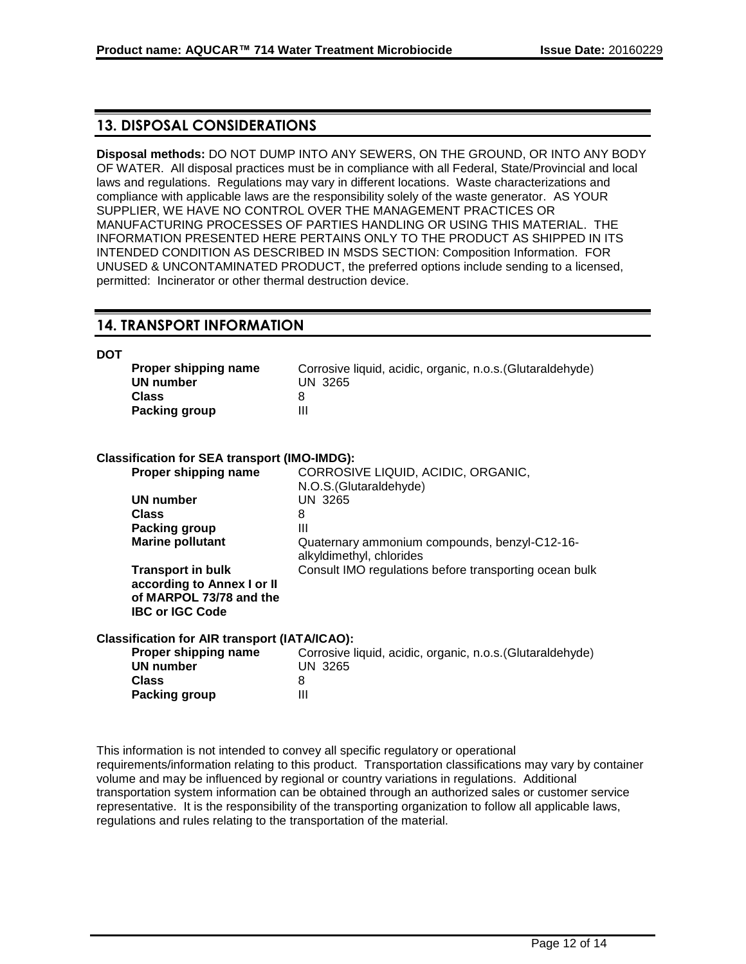# **13. DISPOSAL CONSIDERATIONS**

**Disposal methods:** DO NOT DUMP INTO ANY SEWERS, ON THE GROUND, OR INTO ANY BODY OF WATER. All disposal practices must be in compliance with all Federal, State/Provincial and local laws and regulations. Regulations may vary in different locations. Waste characterizations and compliance with applicable laws are the responsibility solely of the waste generator. AS YOUR SUPPLIER, WE HAVE NO CONTROL OVER THE MANAGEMENT PRACTICES OR MANUFACTURING PROCESSES OF PARTIES HANDLING OR USING THIS MATERIAL. THE INFORMATION PRESENTED HERE PERTAINS ONLY TO THE PRODUCT AS SHIPPED IN ITS INTENDED CONDITION AS DESCRIBED IN MSDS SECTION: Composition Information. FOR UNUSED & UNCONTAMINATED PRODUCT, the preferred options include sending to a licensed, permitted: Incinerator or other thermal destruction device.

## **14. TRANSPORT INFORMATION**

**DOT**

| Proper shipping name | Corrosive liquid, acidic, organic, n.o.s. (Glutaraldehyde) |
|----------------------|------------------------------------------------------------|
| UN number            | UN 3265                                                    |
| <b>Class</b>         |                                                            |
| <b>Packing group</b> |                                                            |

## **Classification for SEA transport (IMO-IMDG):**

| Proper shipping name                                                                                        | CORROSIVE LIQUID, ACIDIC, ORGANIC,                                        |
|-------------------------------------------------------------------------------------------------------------|---------------------------------------------------------------------------|
|                                                                                                             | N.O.S. (Glutaraldehyde)                                                   |
| <b>UN number</b>                                                                                            | UN 3265                                                                   |
| <b>Class</b>                                                                                                | 8                                                                         |
| Packing group                                                                                               | Ш                                                                         |
| <b>Marine pollutant</b>                                                                                     | Quaternary ammonium compounds, benzyl-C12-16-<br>alkyldimethyl, chlorides |
| <b>Transport in bulk</b><br>according to Annex I or II<br>of MARPOL 73/78 and the<br><b>IBC or IGC Code</b> | Consult IMO regulations before transporting ocean bulk                    |
| Classification for AIR transport (IATA/ICAO):                                                               |                                                                           |
| Proper shipping name                                                                                        | Corrosive liquid, acidic, organic, n.o.s. (Glutaraldehyde)                |
| <b>UN number</b>                                                                                            | <b>UN 3265</b>                                                            |
| <b>Class</b>                                                                                                | 8                                                                         |
| Packing group                                                                                               | Ш                                                                         |

This information is not intended to convey all specific regulatory or operational requirements/information relating to this product. Transportation classifications may vary by container volume and may be influenced by regional or country variations in regulations. Additional transportation system information can be obtained through an authorized sales or customer service representative. It is the responsibility of the transporting organization to follow all applicable laws, regulations and rules relating to the transportation of the material.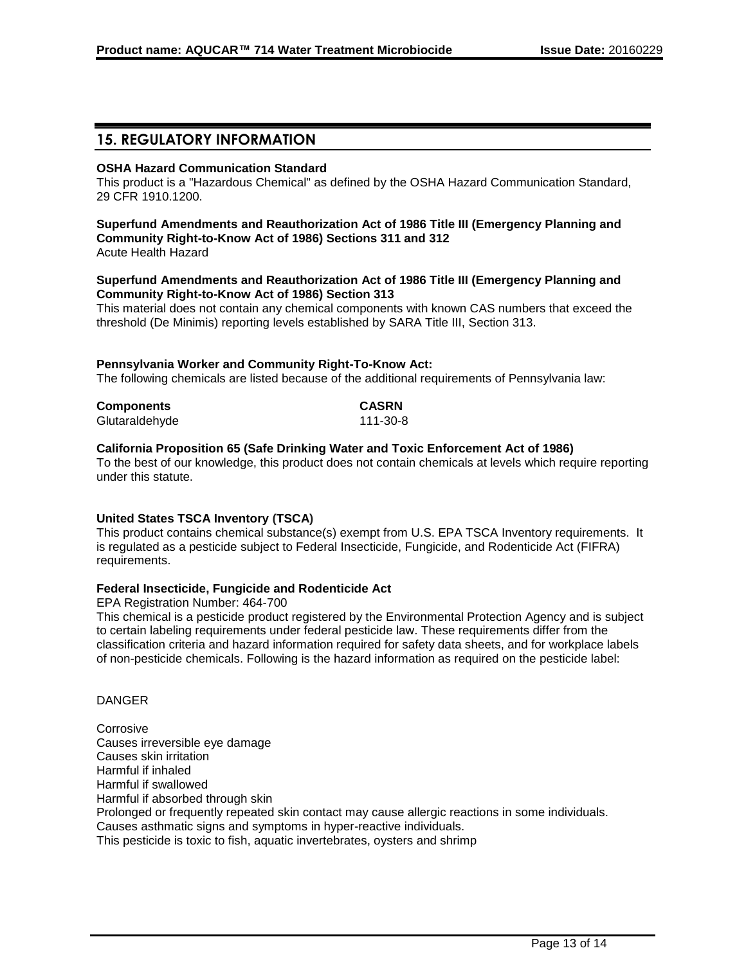# **15. REGULATORY INFORMATION**

## **OSHA Hazard Communication Standard**

This product is a "Hazardous Chemical" as defined by the OSHA Hazard Communication Standard, 29 CFR 1910.1200.

# **Superfund Amendments and Reauthorization Act of 1986 Title III (Emergency Planning and Community Right-to-Know Act of 1986) Sections 311 and 312**

Acute Health Hazard

### **Superfund Amendments and Reauthorization Act of 1986 Title III (Emergency Planning and Community Right-to-Know Act of 1986) Section 313**

This material does not contain any chemical components with known CAS numbers that exceed the threshold (De Minimis) reporting levels established by SARA Title III, Section 313.

## **Pennsylvania Worker and Community Right-To-Know Act:**

The following chemicals are listed because of the additional requirements of Pennsylvania law:

| <b>Components</b> | <b>CASRN</b> |
|-------------------|--------------|
| Glutaraldehyde    | 111-30-8     |

## **California Proposition 65 (Safe Drinking Water and Toxic Enforcement Act of 1986)**

To the best of our knowledge, this product does not contain chemicals at levels which require reporting under this statute.

## **United States TSCA Inventory (TSCA)**

This product contains chemical substance(s) exempt from U.S. EPA TSCA Inventory requirements. It is regulated as a pesticide subject to Federal Insecticide, Fungicide, and Rodenticide Act (FIFRA) requirements.

### **Federal Insecticide, Fungicide and Rodenticide Act**

EPA Registration Number: 464-700

This chemical is a pesticide product registered by the Environmental Protection Agency and is subject to certain labeling requirements under federal pesticide law. These requirements differ from the classification criteria and hazard information required for safety data sheets, and for workplace labels of non-pesticide chemicals. Following is the hazard information as required on the pesticide label:

### DANGER

**Corrosive** Causes irreversible eye damage Causes skin irritation Harmful if inhaled Harmful if swallowed Harmful if absorbed through skin Prolonged or frequently repeated skin contact may cause allergic reactions in some individuals. Causes asthmatic signs and symptoms in hyper-reactive individuals. This pesticide is toxic to fish, aquatic invertebrates, oysters and shrimp